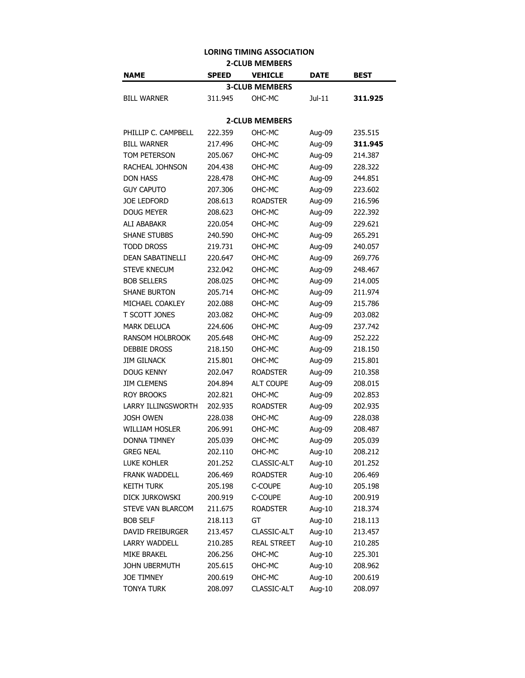## **LORING TIMING ASSOCIATION 2-CLUB MEMBERS**

| NAME                      | <b>SPEED</b> | <b>VEHICLE</b>        | <b>DATE</b> | <b>BEST</b> |  |  |
|---------------------------|--------------|-----------------------|-------------|-------------|--|--|
|                           |              | <b>3-CLUB MEMBERS</b> |             |             |  |  |
| <b>BILL WARNER</b>        | 311.945      | OHC-MC                | $Jul-11$    | 311.925     |  |  |
|                           |              |                       |             |             |  |  |
| <b>2-CLUB MEMBERS</b>     |              |                       |             |             |  |  |
| PHILLIP C. CAMPBELL       | 222.359      | OHC-MC                | Aug-09      | 235.515     |  |  |
| <b>BILL WARNER</b>        | 217.496      | OHC-MC                | Aug-09      | 311.945     |  |  |
| TOM PETERSON              | 205.067      | OHC-MC                | Aug-09      | 214.387     |  |  |
| RACHEAL JOHNSON           | 204.438      | OHC-MC                | Aug-09      | 228.322     |  |  |
| <b>DON HASS</b>           | 228.478      | OHC-MC                | Aug-09      | 244.851     |  |  |
| <b>GUY CAPUTO</b>         | 207.306      | OHC-MC                | Aug-09      | 223.602     |  |  |
| <b>JOE LEDFORD</b>        | 208.613      | <b>ROADSTER</b>       | Aug-09      | 216.596     |  |  |
| <b>DOUG MEYER</b>         | 208.623      | OHC-MC                | Aug-09      | 222.392     |  |  |
| <b>ALI ABABAKR</b>        | 220.054      | OHC-MC                | Aug-09      | 229.621     |  |  |
| <b>SHANE STUBBS</b>       | 240.590      | OHC-MC                | Aug-09      | 265.291     |  |  |
| <b>TODD DROSS</b>         | 219.731      | OHC-MC                | Aug-09      | 240.057     |  |  |
| <b>DEAN SABATINELLI</b>   | 220.647      | OHC-MC                | Aug-09      | 269.776     |  |  |
| <b>STEVE KNECUM</b>       | 232.042      | OHC-MC                | Aug-09      | 248.467     |  |  |
| <b>BOB SELLERS</b>        | 208.025      | OHC-MC                | Aug-09      | 214.005     |  |  |
| <b>SHANE BURTON</b>       | 205.714      | OHC-MC                | Aug-09      | 211.974     |  |  |
| MICHAEL COAKLEY           | 202.088      | OHC-MC                | Aug-09      | 215.786     |  |  |
| T SCOTT JONES             | 203.082      | OHC-MC                | Aug-09      | 203.082     |  |  |
| <b>MARK DELUCA</b>        | 224.606      | OHC-MC                | Aug-09      | 237.742     |  |  |
| <b>RANSOM HOLBROOK</b>    | 205.648      | OHC-MC                | Aug-09      | 252.222     |  |  |
| <b>DEBBIE DROSS</b>       | 218.150      | OHC-MC                | Aug-09      | 218.150     |  |  |
| <b>JIM GILNACK</b>        | 215.801      | OHC-MC                | Aug-09      | 215.801     |  |  |
| <b>DOUG KENNY</b>         | 202.047      | <b>ROADSTER</b>       | Aug-09      | 210.358     |  |  |
| <b>JIM CLEMENS</b>        | 204.894      | <b>ALT COUPE</b>      | Aug-09      | 208.015     |  |  |
| <b>ROY BROOKS</b>         | 202.821      | OHC-MC                | Aug-09      | 202.853     |  |  |
| <b>LARRY ILLINGSWORTH</b> | 202.935      | <b>ROADSTER</b>       | Aug-09      | 202.935     |  |  |
| <b>JOSH OWEN</b>          | 228.038      | OHC-MC                | Aug-09      | 228.038     |  |  |
| <b>WILLIAM HOSLER</b>     | 206.991      | OHC-MC                | Aug-09      | 208.487     |  |  |
| <b>DONNA TIMNEY</b>       | 205.039      | OHC-MC                | Aug-09      | 205.039     |  |  |
| <b>GREG NEAL</b>          | 202.110      | OHC-MC                | Aug-10      | 208.212     |  |  |
| <b>LUKE KOHLER</b>        | 201.252      | CLASSIC-ALT           | Aug-10      | 201.252     |  |  |
| FRANK WADDELL             | 206.469      | <b>ROADSTER</b>       | Aug-10      | 206.469     |  |  |
| <b>KEITH TURK</b>         | 205.198      | C-COUPE               | Aug-10      | 205.198     |  |  |
| DICK JURKOWSKI            | 200.919      | C-COUPE               | Aug-10      | 200.919     |  |  |
| STEVE VAN BLARCOM         | 211.675      | <b>ROADSTER</b>       | Aug-10      | 218.374     |  |  |
| <b>BOB SELF</b>           | 218.113      | GT                    | Aug-10      | 218.113     |  |  |
| <b>DAVID FREIBURGER</b>   | 213.457      | CLASSIC-ALT           | Aug-10      | 213.457     |  |  |
| <b>LARRY WADDELL</b>      | 210.285      | <b>REAL STREET</b>    | Aug-10      | 210.285     |  |  |
| <b>MIKE BRAKEL</b>        | 206.256      | OHC-MC                | Aug-10      | 225.301     |  |  |
| JOHN UBERMUTH             | 205.615      | OHC-MC                | Aug-10      | 208.962     |  |  |
| <b>JOE TIMNEY</b>         | 200.619      | OHC-MC                | Aug-10      | 200.619     |  |  |
| <b>TONYA TURK</b>         | 208.097      | CLASSIC-ALT           | Aug-10      | 208.097     |  |  |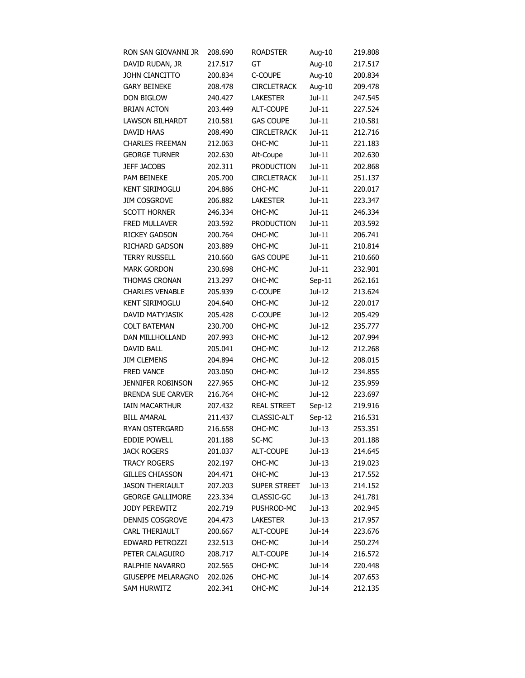| RON SAN GIOVANNI JR       | 208.690 | <b>ROADSTER</b>    | Aug-10   | 219.808 |
|---------------------------|---------|--------------------|----------|---------|
| DAVID RUDAN, JR           | 217.517 | GT                 | Aug-10   | 217.517 |
| <b>JOHN CIANCITTO</b>     | 200.834 | C-COUPE            | Aug-10   | 200.834 |
| <b>GARY BEINEKE</b>       | 208.478 | <b>CIRCLETRACK</b> | Aug-10   | 209.478 |
| <b>DON BIGLOW</b>         | 240.427 | <b>LAKESTER</b>    | $Jul-11$ | 247.545 |
| <b>BRIAN ACTON</b>        | 203.449 | ALT-COUPE          | $Jul-11$ | 227.524 |
| <b>LAWSON BILHARDT</b>    | 210.581 | <b>GAS COUPE</b>   | Jul-11   | 210.581 |
| DAVID HAAS                | 208.490 | <b>CIRCLETRACK</b> | $Jul-11$ | 212.716 |
| <b>CHARLES FREEMAN</b>    | 212.063 | OHC-MC             | Jul-11   | 221.183 |
| <b>GEORGE TURNER</b>      | 202.630 | Alt-Coupe          | $Jul-11$ | 202.630 |
| <b>JEFF JACOBS</b>        | 202.311 | <b>PRODUCTION</b>  | $Jul-11$ | 202.868 |
| PAM BEINEKE               | 205.700 | <b>CIRCLETRACK</b> | Jul-11   | 251.137 |
| <b>KENT SIRIMOGLU</b>     | 204.886 | OHC-MC             | Jul-11   | 220.017 |
| <b>JIM COSGROVE</b>       | 206.882 | <b>LAKESTER</b>    | Jul-11   | 223.347 |
| <b>SCOTT HORNER</b>       | 246.334 | OHC-MC             | Jul-11   | 246.334 |
| FRED MULLAVER             | 203.592 | PRODUCTION         | Jul-11   | 203.592 |
| <b>RICKEY GADSON</b>      | 200.764 | OHC-MC             | $Jul-11$ | 206.741 |
| RICHARD GADSON            | 203.889 | OHC-MC             | Jul-11   | 210.814 |
| <b>TERRY RUSSELL</b>      | 210.660 | <b>GAS COUPE</b>   | Jul-11   | 210.660 |
| <b>MARK GORDON</b>        | 230.698 | OHC-MC             | Jul-11   | 232.901 |
| THOMAS CRONAN             | 213.297 | OHC-MC             | $Sep-11$ | 262.161 |
| <b>CHARLES VENABLE</b>    | 205.939 | C-COUPE            | Jul-12   | 213.624 |
| <b>KENT SIRIMOGLU</b>     | 204.640 | OHC-MC             | Jul-12   | 220.017 |
| DAVID MATYJASIK           | 205.428 | C-COUPE            | Jul-12   | 205.429 |
| <b>COLT BATEMAN</b>       | 230.700 | OHC-MC             | Jul-12   | 235.777 |
| DAN MILLHOLLAND           | 207.993 | OHC-MC             | Jul-12   | 207.994 |
| <b>DAVID BALL</b>         | 205.041 | OHC-MC             | Jul-12   | 212.268 |
| <b>JIM CLEMENS</b>        | 204.894 | OHC-MC             | Jul-12   | 208.015 |
| <b>FRED VANCE</b>         | 203.050 | OHC-MC             | Jul-12   | 234.855 |
| <b>JENNIFER ROBINSON</b>  | 227.965 | OHC-MC             | Jul-12   | 235.959 |
| <b>BRENDA SUE CARVER</b>  | 216.764 | OHC-MC             | Jul-12   | 223.697 |
| <b>IAIN MACARTHUR</b>     | 207.432 | <b>REAL STREET</b> | Sep-12   | 219.916 |
| <b>BILL AMARAL</b>        | 211.437 | CLASSIC-ALT        | $Sep-12$ | 216.531 |
| RYAN OSTERGARD            | 216.658 | OHC-MC             | $Jul-13$ | 253.351 |
| <b>EDDIE POWELL</b>       | 201.188 | SC-MC              | Jul-13   | 201.188 |
| <b>JACK ROGERS</b>        | 201.037 | ALT-COUPE          | Jul-13   | 214.645 |
| <b>TRACY ROGERS</b>       | 202.197 | OHC-MC             | Jul-13   | 219.023 |
| <b>GILLES CHIASSON</b>    | 204.471 | OHC-MC             | Jul-13   | 217.552 |
| <b>JASON THERIAULT</b>    | 207.203 | SUPER STREET       | Jul-13   | 214.152 |
| <b>GEORGE GALLIMORE</b>   | 223.334 | CLASSIC-GC         | Jul-13   | 241.781 |
| <b>JODY PEREWITZ</b>      | 202.719 | PUSHROD-MC         | Jul-13   | 202.945 |
| DENNIS COSGROVE           | 204.473 | <b>LAKESTER</b>    | Jul-13   | 217.957 |
| <b>CARL THERIAULT</b>     | 200.667 | ALT-COUPE          | Jul-14   | 223.676 |
| EDWARD PETROZZI           | 232.513 | OHC-MC             | Jul-14   | 250.274 |
| PETER CALAGUIRO           | 208.717 | <b>ALT-COUPE</b>   | Jul-14   | 216.572 |
| RALPHIE NAVARRO           | 202.565 | OHC-MC             | Jul-14   | 220.448 |
| <b>GIUSEPPE MELARAGNO</b> | 202.026 | OHC-MC             | Jul-14   | 207.653 |
| <b>SAM HURWITZ</b>        | 202.341 | OHC-MC             | Jul-14   | 212.135 |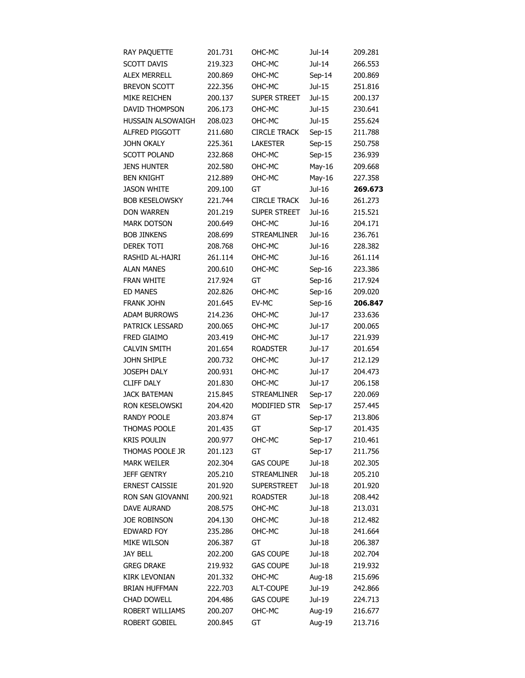| RAY PAQUETTE          | 201.731 | OHC-MC              | Jul-14   | 209.281 |
|-----------------------|---------|---------------------|----------|---------|
| <b>SCOTT DAVIS</b>    | 219.323 | OHC-MC              | Jul-14   | 266.553 |
| <b>ALEX MERRELL</b>   | 200.869 | OHC-MC              | $Sep-14$ | 200.869 |
| <b>BREVON SCOTT</b>   | 222.356 | OHC-MC              | Jul-15   | 251.816 |
| MIKE REICHEN          | 200.137 | SUPER STREET        | Jul-15   | 200.137 |
| DAVID THOMPSON        | 206.173 | OHC-MC              | Jul-15   | 230.641 |
| HUSSAIN ALSOWAIGH     | 208.023 | OHC-MC              | Jul-15   | 255.624 |
| ALFRED PIGGOTT        | 211.680 | <b>CIRCLE TRACK</b> | $Sep-15$ | 211.788 |
| <b>JOHN OKALY</b>     | 225.361 | <b>LAKESTER</b>     | $Sep-15$ | 250.758 |
| <b>SCOTT POLAND</b>   | 232.868 | OHC-MC              | $Sep-15$ | 236.939 |
| <b>JENS HUNTER</b>    | 202.580 | OHC-MC              | May-16   | 209.668 |
| <b>BEN KNIGHT</b>     | 212.889 | OHC-MC              | May-16   | 227.358 |
| <b>JASON WHITE</b>    | 209.100 | GT                  | Jul-16   | 269.673 |
| <b>BOB KESELOWSKY</b> | 221.744 | <b>CIRCLE TRACK</b> | Jul-16   | 261.273 |
| <b>DON WARREN</b>     | 201.219 | SUPER STREET        | Jul-16   | 215.521 |
| <b>MARK DOTSON</b>    | 200.649 | OHC-MC              | Jul-16   | 204.171 |
| <b>BOB JINKENS</b>    | 208.699 | <b>STREAMLINER</b>  | Jul-16   | 236.761 |
| <b>DEREK TOTI</b>     | 208.768 | OHC-MC              | Jul-16   | 228.382 |
| RASHID AL-HAJRI       | 261.114 | OHC-MC              | Jul-16   | 261.114 |
| <b>ALAN MANES</b>     | 200.610 | OHC-MC              | $Sep-16$ | 223.386 |
| FRAN WHITE            | 217.924 | GT                  | $Sep-16$ | 217.924 |
| <b>ED MANES</b>       | 202.826 | OHC-MC              | $Sep-16$ | 209.020 |
| <b>FRANK JOHN</b>     | 201.645 | EV-MC               | $Sep-16$ | 206.847 |
| <b>ADAM BURROWS</b>   | 214.236 | OHC-MC              | Jul-17   | 233.636 |
| PATRICK LESSARD       | 200.065 | OHC-MC              | Jul-17   | 200.065 |
| FRED GIAIMO           | 203.419 | OHC-MC              | Jul-17   | 221.939 |
| <b>CALVIN SMITH</b>   | 201.654 | <b>ROADSTER</b>     | Jul-17   | 201.654 |
| JOHN SHIPLE           | 200.732 | OHC-MC              | Jul-17   | 212.129 |
| <b>JOSEPH DALY</b>    | 200.931 | OHC-MC              | Jul-17   | 204.473 |
| <b>CLIFF DALY</b>     | 201.830 | OHC-MC              | Jul-17   | 206.158 |
| <b>JACK BATEMAN</b>   | 215.845 | <b>STREAMLINER</b>  | $Sep-17$ | 220.069 |
| RON KESELOWSKI        | 204.420 | MODIFIED STR        | Sep-17   | 257.445 |
| <b>RANDY POOLE</b>    | 203.874 | GT                  | Sep-17   | 213.806 |
| THOMAS POOLE          | 201.435 | GT                  | Sep-17   | 201.435 |
| <b>KRIS POULIN</b>    | 200.977 | OHC-MC              | Sep-17   | 210.461 |
| THOMAS POOLE JR       | 201.123 | GT                  | $Sep-17$ | 211.756 |
| <b>MARK WEILER</b>    | 202.304 | <b>GAS COUPE</b>    | Jul-18   | 202.305 |
| <b>JEFF GENTRY</b>    | 205.210 | <b>STREAMLINER</b>  | Jul-18   | 205.210 |
| <b>ERNEST CAISSIE</b> | 201.920 | <b>SUPERSTREET</b>  | Jul-18   | 201.920 |
| RON SAN GIOVANNI      | 200.921 | <b>ROADSTER</b>     | Jul-18   | 208.442 |
| <b>DAVE AURAND</b>    | 208.575 | OHC-MC              | Jul-18   | 213.031 |
| <b>JOE ROBINSON</b>   | 204.130 | OHC-MC              | Jul-18   | 212.482 |
| <b>EDWARD FOY</b>     | 235.286 | OHC-MC              | Jul-18   | 241.664 |
| MIKE WILSON           | 206.387 | GT                  | Jul-18   | 206.387 |
| <b>JAY BELL</b>       | 202.200 | <b>GAS COUPE</b>    | Jul-18   | 202.704 |
| <b>GREG DRAKE</b>     | 219.932 | <b>GAS COUPE</b>    | Jul-18   | 219.932 |
| <b>KIRK LEVONIAN</b>  | 201.332 | OHC-MC              | Aug-18   | 215.696 |
| <b>BRIAN HUFFMAN</b>  | 222.703 | ALT-COUPE           | Jul-19   | 242.866 |
| <b>CHAD DOWELL</b>    | 204.486 | <b>GAS COUPE</b>    | Jul-19   | 224.713 |
| ROBERT WILLIAMS       | 200.207 | OHC-MC              | Aug-19   | 216.677 |
| ROBERT GOBIEL         | 200.845 | GT                  | Aug-19   | 213.716 |
|                       |         |                     |          |         |